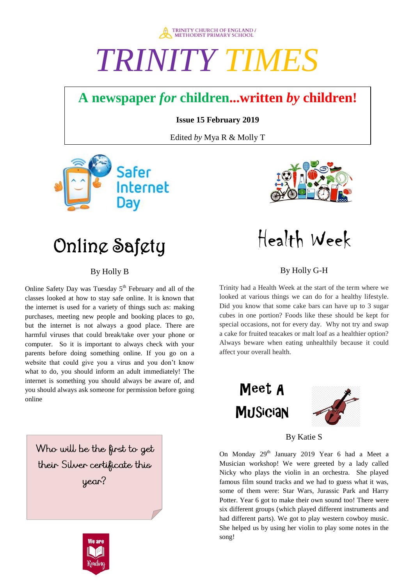

# *TRINITY TIMES*

### **A newspaper** *for* **children...written** *by* **children!**

**Issue 15 February 2019**

Edited *by* Mya R & Molly T





## Online Safety

### By Holly B

Online Safety Day was Tuesday  $5<sup>th</sup>$  February and all of the classes looked at how to stay safe online. It is known that the internet is used for a variety of things such as: making purchases, meeting new people and booking places to go, but the internet is not always a good place. There are harmful viruses that could break/take over your phone or computer. So it is important to always check with your parents before doing something online. If you go on a website that could give you a virus and you don't know what to do, you should inform an adult immediately! The internet is something you should always be aware of, and you should always ask someone for permission before going online

Who will be the first to get their Silver certificate this year?



Health Week

### By Holly G-H

Trinity had a Health Week at the start of the term where we looked at various things we can do for a healthy lifestyle. Did you know that some cake bars can have up to 3 sugar cubes in one portion? Foods like these should be kept for special occasions, not for every day. Why not try and swap a cake for fruited teacakes or malt loaf as a healthier option? Always beware when eating unhealthily because it could affect your overall health.





By Katie S

On Monday 29<sup>th</sup> January 2019 Year 6 had a Meet a Musician workshop! We were greeted by a lady called Nicky who plays the violin in an orchestra. She played famous film sound tracks and we had to guess what it was, some of them were: Star Wars, Jurassic Park and Harry Potter. Year 6 got to make their own sound too! There were six different groups (which played different instruments and had different parts). We got to play western cowboy music. She helped us by using her violin to play some notes in the song!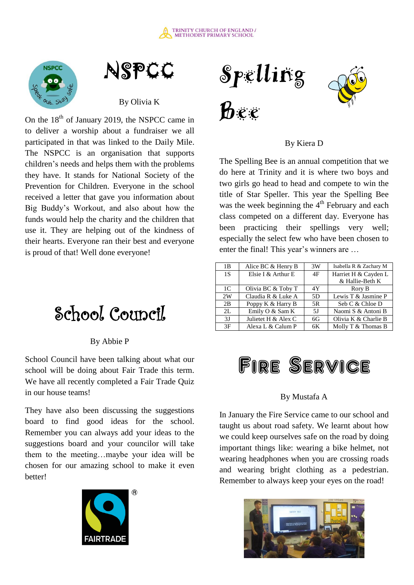





By Olivia K

On the  $18<sup>th</sup>$  of January 2019, the NSPCC came in to deliver a worship about a fundraiser we all participated in that was linked to the Daily Mile. The NSPCC is an organisation that supports children's needs and helps them with the problems they have. It stands for National Society of the Prevention for Children. Everyone in the school received a letter that gave you information about Big Buddy's Workout, and also about how the funds would help the charity and the children that use it. They are helping out of the kindness of their hearts. Everyone ran their best and everyone is proud of that! Well done everyone!

### School Council

### By Abbie P

School Council have been talking about what our school will be doing about Fair Trade this term. We have all recently completed a Fair Trade Quiz in our house teams!

They have also been discussing the suggestions board to find good ideas for the school. Remember you can always add your ideas to the suggestions board and your councilor will take them to the meeting…maybe your idea will be chosen for our amazing school to make it even better!





By Kiera D

The Spelling Bee is an annual competition that we do here at Trinity and it is where two boys and two girls go head to head and compete to win the title of Star Speller. This year the Spelling Bee was the week beginning the  $4<sup>th</sup>$  February and each class competed on a different day. Everyone has been practicing their spellings very well; especially the select few who have been chosen to enter the final! This year's winners are …

| 1B             | Alice BC & Henry B  | 3W | Isabella R & Zachary M |
|----------------|---------------------|----|------------------------|
| 1S             | Elsie I & Arthur E  | 4F | Harriet H & Cayden L   |
|                |                     |    | & Hallie-Beth K        |
| 1 <sup>C</sup> | Olivia BC & Toby T  | 4Y | Rory B                 |
| 2W             | Claudia R & Luke A  | 5D | Lewis T & Jasmine P    |
| 2B             | Poppy K & Harry B   | 5R | Seb C & Chloe D        |
| 2L             | Emily O & Sam K     | 5J | Naomi S & Antoni B     |
| 3J             | Julietet H & Alex C | 6G | Olivia K & Charlie B   |
| 3F             | Alexa L & Calum P   | 6K | Molly T & Thomas B     |



### By Mustafa A

In January the Fire Service came to our school and taught us about road safety. We learnt about how we could keep ourselves safe on the road by doing important things like: wearing a bike helmet, not wearing headphones when you are crossing roads and wearing bright clothing as a pedestrian. Remember to always keep your eyes on the road!

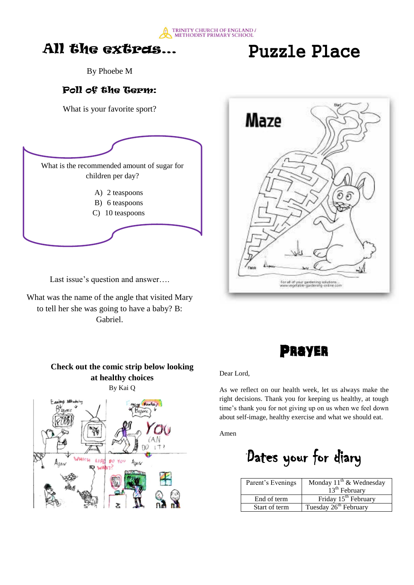

### All the extras…

Puzzle Place

By Phoebe M

### Poll of the Term:

What is your favorite sport?



Last issue's question and answer….

What was the name of the angle that visited Mary to tell her she was going to have a baby? B: Gabriel.





#### **Check out the comic strip below looking at healthy choices**  By Kai Q



#### Dear Lord,

As we reflect on our health week, let us always make the right decisions. Thank you for keeping us healthy, at tough time's thank you for not giving up on us when we feel down about self-image, healthy exercise and what we should eat.

Amen

Dates your for diary

| Parent's Evenings | Monday $11^{th}$ & Wednesday      |
|-------------------|-----------------------------------|
|                   | 13 <sup>th</sup> February         |
| End of term       | Friday $15th$ February            |
| Start of term     | Tuesday 26 <sup>th</sup> February |